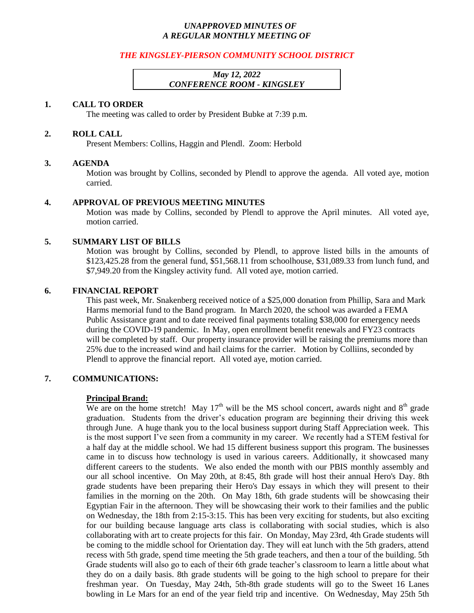# *UNAPPROVED MINUTES OF A REGULAR MONTHLY MEETING OF*

# *THE KINGSLEY-PIERSON COMMUNITY SCHOOL DISTRICT*

# *May 12, 2022 CONFERENCE ROOM - KINGSLEY*

### **1. CALL TO ORDER**

The meeting was called to order by President Bubke at 7:39 p.m.

### **2. ROLL CALL**

Present Members: Collins, Haggin and Plendl. Zoom: Herbold

### **3. AGENDA**

Motion was brought by Collins, seconded by Plendl to approve the agenda. All voted aye, motion carried.

#### **4. APPROVAL OF PREVIOUS MEETING MINUTES**

Motion was made by Collins, seconded by Plendl to approve the April minutes. All voted aye, motion carried.

### **5. SUMMARY LIST OF BILLS**

Motion was brought by Collins, seconded by Plendl, to approve listed bills in the amounts of \$123,425.28 from the general fund, \$51,568.11 from schoolhouse, \$31,089.33 from lunch fund, and \$7,949.20 from the Kingsley activity fund. All voted aye, motion carried.

### **6. FINANCIAL REPORT**

This past week, Mr. Snakenberg received notice of a \$25,000 donation from Phillip, Sara and Mark Harms memorial fund to the Band program. In March 2020, the school was awarded a FEMA Public Assistance grant and to date received final payments totaling \$38,000 for emergency needs during the COVID-19 pandemic. In May, open enrollment benefit renewals and FY23 contracts will be completed by staff. Our property insurance provider will be raising the premiums more than 25% due to the increased wind and hail claims for the carrier. Motion by Colliins, seconded by Plendl to approve the financial report. All voted aye, motion carried.

## **7. COMMUNICATIONS:**

#### **Principal Brand:**

We are on the home stretch! May 17<sup>th</sup> will be the MS school concert, awards night and  $8<sup>th</sup>$  grade graduation. Students from the driver's education program are beginning their driving this week through June. A huge thank you to the local business support during Staff Appreciation week. This is the most support I've seen from a community in my career. We recently had a STEM festival for a half day at the middle school. We had 15 different business support this program. The businesses came in to discuss how technology is used in various careers. Additionally, it showcased many different careers to the students. We also ended the month with our PBIS monthly assembly and our all school incentive. On May 20th, at 8:45, 8th grade will host their annual Hero's Day. 8th grade students have been preparing their Hero's Day essays in which they will present to their families in the morning on the 20th. On May 18th, 6th grade students will be showcasing their Egyptian Fair in the afternoon. They will be showcasing their work to their families and the public on Wednesday, the 18th from 2:15-3:15. This has been very exciting for students, but also exciting for our building because language arts class is collaborating with social studies, which is also collaborating with art to create projects for this fair. On Monday, May 23rd, 4th Grade students will be coming to the middle school for Orientation day. They will eat lunch with the 5th graders, attend recess with 5th grade, spend time meeting the 5th grade teachers, and then a tour of the building. 5th Grade students will also go to each of their 6th grade teacher's classroom to learn a little about what they do on a daily basis. 8th grade students will be going to the high school to prepare for their freshman year. On Tuesday, May 24th, 5th-8th grade students will go to the Sweet 16 Lanes bowling in Le Mars for an end of the year field trip and incentive. On Wednesday, May 25th 5th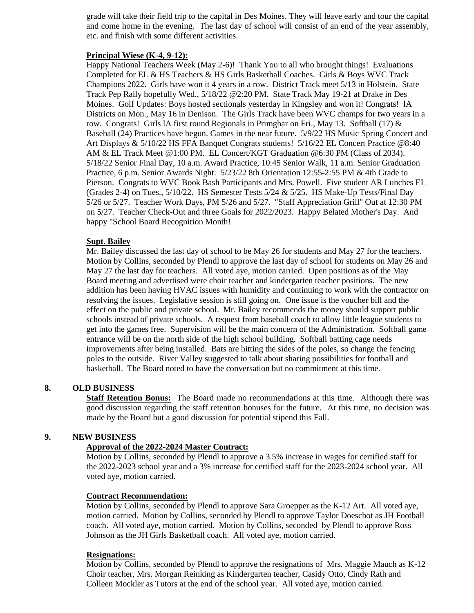grade will take their field trip to the capital in Des Moines. They will leave early and tour the capital and come home in the evening. The last day of school will consist of an end of the year assembly, etc. and finish with some different activities.

## **Principal Wiese (K-4, 9-12):**

Happy National Teachers Week (May 2-6)! Thank You to all who brought things! Evaluations Completed for EL & HS Teachers & HS Girls Basketball Coaches. Girls & Boys WVC Track Champions 2022. Girls have won it 4 years in a row. District Track meet 5/13 in Holstein. State Track Pep Rally hopefully Wed., 5/18/22 @2:20 PM. State Track May 19-21 at Drake in Des Moines. Golf Updates: Boys hosted sectionals yesterday in Kingsley and won it! Congrats! lA Districts on Mon., May 16 in Denison. The Girls Track have been WVC champs for two years in a row. Congrats! Girls 1A first round Regionals in Primghar on Fri., May 13. Softball (17)  $\&$ Baseball (24) Practices have begun. Games in the near future. 5/9/22 HS Music Spring Concert and Art Displays & 5/10/22 HS FFA Banquet Congrats students! 5/16/22 EL Concert Practice @8:40 AM & EL Track Meet @1:00 PM. EL Concert/KGT Graduation @6:30 PM (Class of 2034). 5/18/22 Senior Final Day, 10 a.m. Award Practice, 10:45 Senior Walk, 11 a.m. Senior Graduation Practice, 6 p.m. Senior Awards Night. 5/23/22 8th Orientation 12:55-2:55 PM & 4th Grade to Pierson. Congrats to WVC Book Bash Participants and Mrs. Powell. Five student AR Lunches EL (Grades 2-4) on Tues., 5/10/22. HS Semester Tests 5/24 & 5/25. HS Make-Up Tests/Final Day 5/26 or 5/27. Teacher Work Days, PM 5/26 and 5/27. "Staff Appreciation Grill" Out at 12:30 PM on 5/27. Teacher Check-Out and three Goals for 2022/2023. Happy Belated Mother's Day. And happy "School Board Recognition Month!

### **Supt. Bailey**

Mr. Bailey discussed the last day of school to be May 26 for students and May 27 for the teachers. Motion by Collins, seconded by Plendl to approve the last day of school for students on May 26 and May 27 the last day for teachers. All voted aye, motion carried. Open positions as of the May Board meeting and advertised were choir teacher and kindergarten teacher positions. The new addition has been having HVAC issues with humidity and continuing to work with the contractor on resolving the issues. Legislative session is still going on. One issue is the voucher bill and the effect on the public and private school. Mr. Bailey recommends the money should support public schools instead of private schools. A request from baseball coach to allow little league students to get into the games free. Supervision will be the main concern of the Administration. Softball game entrance will be on the north side of the high school building. Softball batting cage needs improvements after being installed. Bats are hitting the sides of the poles, so change the fencing poles to the outside. River Valley suggested to talk about sharing possibilities for football and basketball. The Board noted to have the conversation but no commitment at this time.

## **8. OLD BUSINESS**

**Staff Retention Bonus:** The Board made no recommendations at this time. Although there was good discussion regarding the staff retention bonuses for the future. At this time, no decision was made by the Board but a good discussion for potential stipend this Fall.

## **9. NEW BUSINESS**

## **Approval of the 2022-2024 Master Contract:**

Motion by Collins, seconded by Plendl to approve a 3.5% increase in wages for certified staff for the 2022-2023 school year and a 3% increase for certified staff for the 2023-2024 school year. All voted aye, motion carried.

#### **Contract Recommendation:**

Motion by Collins, seconded by Plendl to approve Sara Groepper as the K-12 Art. All voted aye, motion carried. Motion by Collins, seconded by Plendl to approve Taylor Doeschot as JH Football coach. All voted aye, motion carried. Motion by Collins, seconded by Plendl to approve Ross Johnson as the JH Girls Basketball coach. All voted aye, motion carried.

#### **Resignations:**

Motion by Collins, seconded by Plendl to approve the resignations of Mrs. Maggie Mauch as K-12 Choir teacher, Mrs. Morgan Reinking as Kindergarten teacher, Casidy Otto, Cindy Rath and Colleen Mockler as Tutors at the end of the school year. All voted aye, motion carried.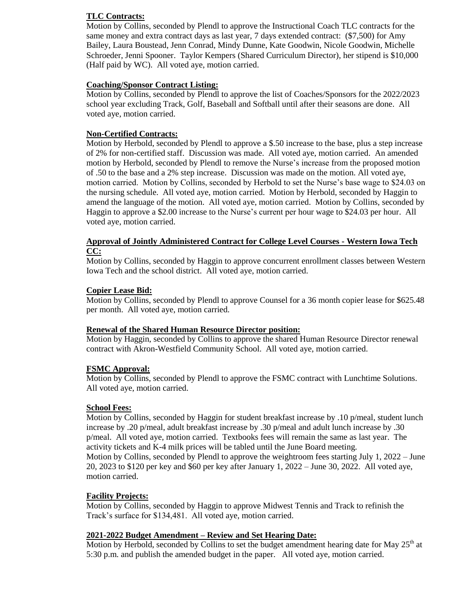# **TLC Contracts:**

Motion by Collins, seconded by Plendl to approve the Instructional Coach TLC contracts for the same money and extra contract days as last year, 7 days extended contract: (\$7,500) for Amy Bailey, Laura Boustead, Jenn Conrad, Mindy Dunne, Kate Goodwin, Nicole Goodwin, Michelle Schroeder, Jenni Spooner. Taylor Kempers (Shared Curriculum Director), her stipend is \$10,000 (Half paid by WC). All voted aye, motion carried.

# **Coaching/Sponsor Contract Listing:**

Motion by Collins, seconded by Plendl to approve the list of Coaches/Sponsors for the 2022/2023 school year excluding Track, Golf, Baseball and Softball until after their seasons are done. All voted aye, motion carried.

# **Non-Certified Contracts:**

Motion by Herbold, seconded by Plendl to approve a \$.50 increase to the base, plus a step increase of 2% for non-certified staff. Discussion was made. All voted aye, motion carried. An amended motion by Herbold, seconded by Plendl to remove the Nurse's increase from the proposed motion of .50 to the base and a 2% step increase. Discussion was made on the motion. All voted aye, motion carried. Motion by Collins, seconded by Herbold to set the Nurse's base wage to \$24.03 on the nursing schedule. All voted aye, motion carried. Motion by Herbold, seconded by Haggin to amend the language of the motion. All voted aye, motion carried. Motion by Collins, seconded by Haggin to approve a \$2.00 increase to the Nurse's current per hour wage to \$24.03 per hour. All voted aye, motion carried.

### **Approval of Jointly Administered Contract for College Level Courses - Western Iowa Tech CC:**

Motion by Collins, seconded by Haggin to approve concurrent enrollment classes between Western Iowa Tech and the school district. All voted aye, motion carried.

# **Copier Lease Bid:**

Motion by Collins, seconded by Plendl to approve Counsel for a 36 month copier lease for \$625.48 per month. All voted aye, motion carried.

## **Renewal of the Shared Human Resource Director position:**

Motion by Haggin, seconded by Collins to approve the shared Human Resource Director renewal contract with Akron-Westfield Community School. All voted aye, motion carried.

## **FSMC Approval:**

Motion by Collins, seconded by Plendl to approve the FSMC contract with Lunchtime Solutions. All voted aye, motion carried.

## **School Fees:**

Motion by Collins, seconded by Haggin for student breakfast increase by .10 p/meal, student lunch increase by .20 p/meal, adult breakfast increase by .30 p/meal and adult lunch increase by .30 p/meal. All voted aye, motion carried. Textbooks fees will remain the same as last year. The activity tickets and K-4 milk prices will be tabled until the June Board meeting. Motion by Collins, seconded by Plendl to approve the weightroom fees starting July 1, 2022 – June 20, 2023 to \$120 per key and \$60 per key after January 1, 2022 – June 30, 2022. All voted aye, motion carried.

## **Facility Projects:**

Motion by Collins, seconded by Haggin to approve Midwest Tennis and Track to refinish the Track's surface for \$134,481. All voted aye, motion carried.

## **2021-2022 Budget Amendment – Review and Set Hearing Date:**

Motion by Herbold, seconded by Collins to set the budget amendment hearing date for May  $25<sup>th</sup>$  at 5:30 p.m. and publish the amended budget in the paper. All voted aye, motion carried.